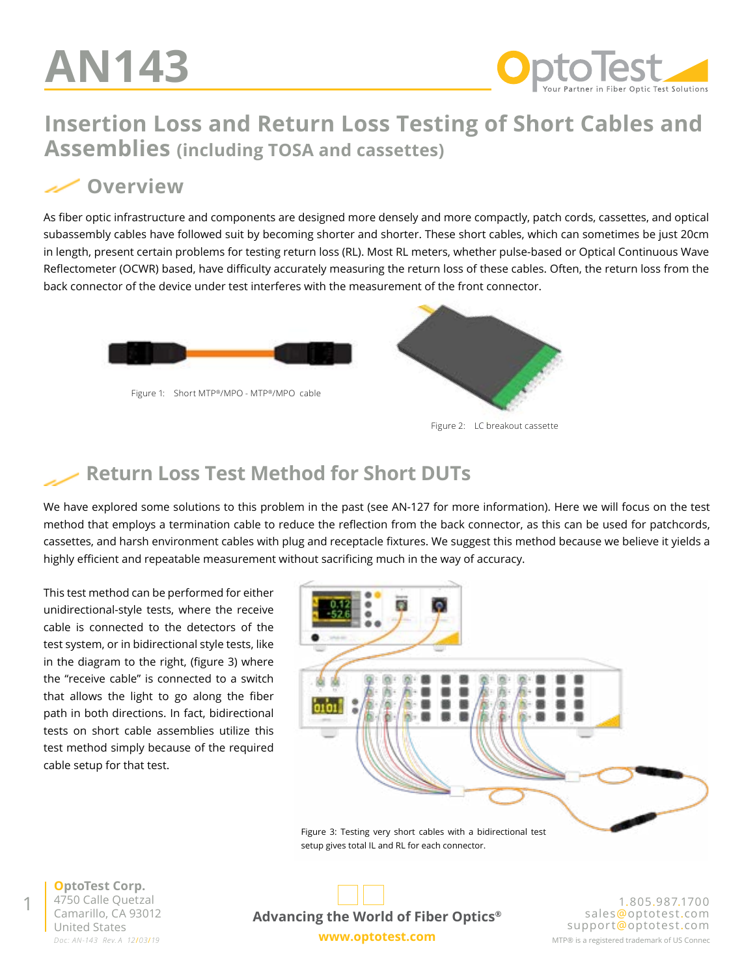

## **Insertion Loss and Return Loss Testing of Short Cables and Assemblies (including TOSA and cassettes)**

#### **Overview**

As fiber optic infrastructure and components are designed more densely and more compactly, patch cords, cassettes, and optical subassembly cables have followed suit by becoming shorter and shorter. These short cables, which can sometimes be just 20cm in length, present certain problems for testing return loss (RL). Most RL meters, whether pulse-based or Optical Continuous Wave Reflectometer (OCWR) based, have difficulty accurately measuring the return loss of these cables. Often, the return loss from the back connector of the device under test interferes with the measurement of the front connector.





Figure 2: LC breakout cassette

# **Return Loss Test Method for Short DUTs**

We have explored some solutions to this problem in the past (see [AN-127](https://www.optotest.com/an-127-measuring-rl-on-short-cables-a-detailed-approach/) for more information). Here we will focus on the test method that employs a termination cable to reduce the reflection from the back connector, as this can be used for patchcords, cassettes, and harsh environment cables with plug and receptacle fixtures. We suggest this method because we believe it yields a highly efficient and repeatable measurement without sacrificing much in the way of accuracy.

This test method can be performed for either unidirectional-style tests, where the receive cable is connected to the detectors of the test system, or in bidirectional style tests, like in the diagram to the right, (figure 3) where the "receive cable" is connected to a switch that allows the light to go along the fiber path in both directions. In fact, bidirectional tests on short cable assemblies utilize this test method simply because of the required cable setup for that test.



setup gives total IL and RL for each connector.

*Doc: AN-143 Rev. A 12*/*03*/*19* **OptoTest Corp.** 4750 Calle Quetzal Camarillo, CA 93012

1



1.805.987.1700 sales@optotest.com support@optotest.com MTP® is a registered trademark of US Connec